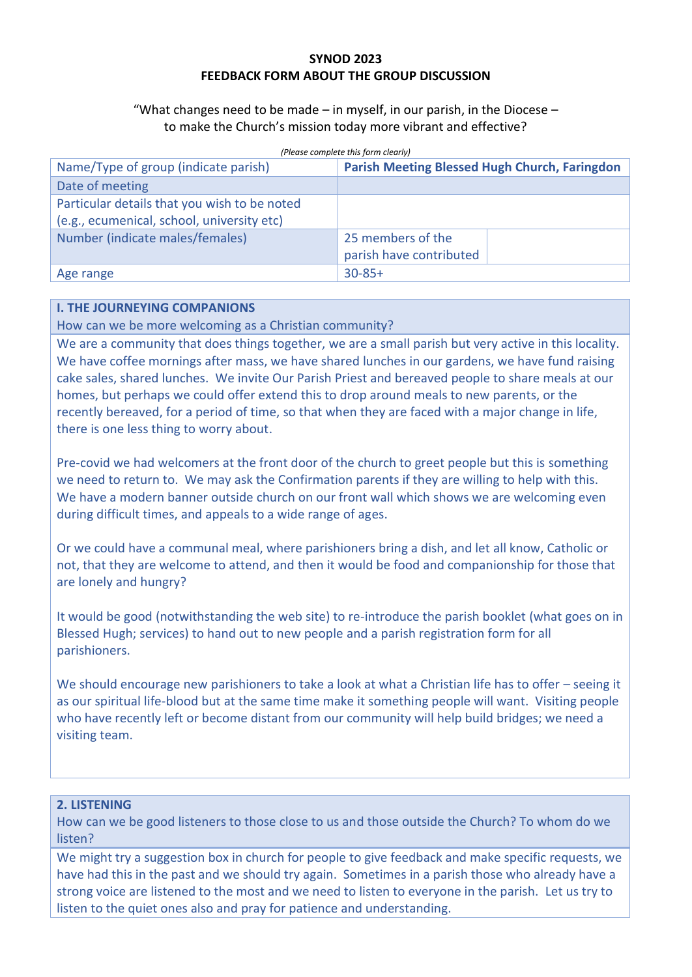## **SYNOD 2023 FEEDBACK FORM ABOUT THE GROUP DISCUSSION**

"What changes need to be made – in myself, in our parish, in the Diocese – to make the Church's mission today more vibrant and effective?

| Name/Type of group (indicate parish)         | (Please complete this form clearly)<br><b>Parish Meeting Blessed Hugh Church, Faringdon</b> |
|----------------------------------------------|---------------------------------------------------------------------------------------------|
| Date of meeting                              |                                                                                             |
| Particular details that you wish to be noted |                                                                                             |
| (e.g., ecumenical, school, university etc)   |                                                                                             |
| Number (indicate males/females)              | 25 members of the                                                                           |
|                                              | parish have contributed                                                                     |
| Age range                                    | $30 - 85 +$                                                                                 |

## **I. THE JOURNEYING COMPANIONS**

How can we be more welcoming as a Christian community?

We are a community that does things together, we are a small parish but very active in this locality. We have coffee mornings after mass, we have shared lunches in our gardens, we have fund raising cake sales, shared lunches. We invite Our Parish Priest and bereaved people to share meals at our homes, but perhaps we could offer extend this to drop around meals to new parents, or the recently bereaved, for a period of time, so that when they are faced with a major change in life, there is one less thing to worry about.

Pre-covid we had welcomers at the front door of the church to greet people but this is something we need to return to. We may ask the Confirmation parents if they are willing to help with this. We have a modern banner outside church on our front wall which shows we are welcoming even during difficult times, and appeals to a wide range of ages.

Or we could have a communal meal, where parishioners bring a dish, and let all know, Catholic or not, that they are welcome to attend, and then it would be food and companionship for those that are lonely and hungry?

It would be good (notwithstanding the web site) to re-introduce the parish booklet (what goes on in Blessed Hugh; services) to hand out to new people and a parish registration form for all parishioners.

We should encourage new parishioners to take a look at what a Christian life has to offer – seeing it as our spiritual life-blood but at the same time make it something people will want. Visiting people who have recently left or become distant from our community will help build bridges; we need a visiting team.

### **2. LISTENING**

How can we be good listeners to those close to us and those outside the Church? To whom do we listen?

We might try a suggestion box in church for people to give feedback and make specific requests, we have had this in the past and we should try again. Sometimes in a parish those who already have a strong voice are listened to the most and we need to listen to everyone in the parish. Let us try to listen to the quiet ones also and pray for patience and understanding.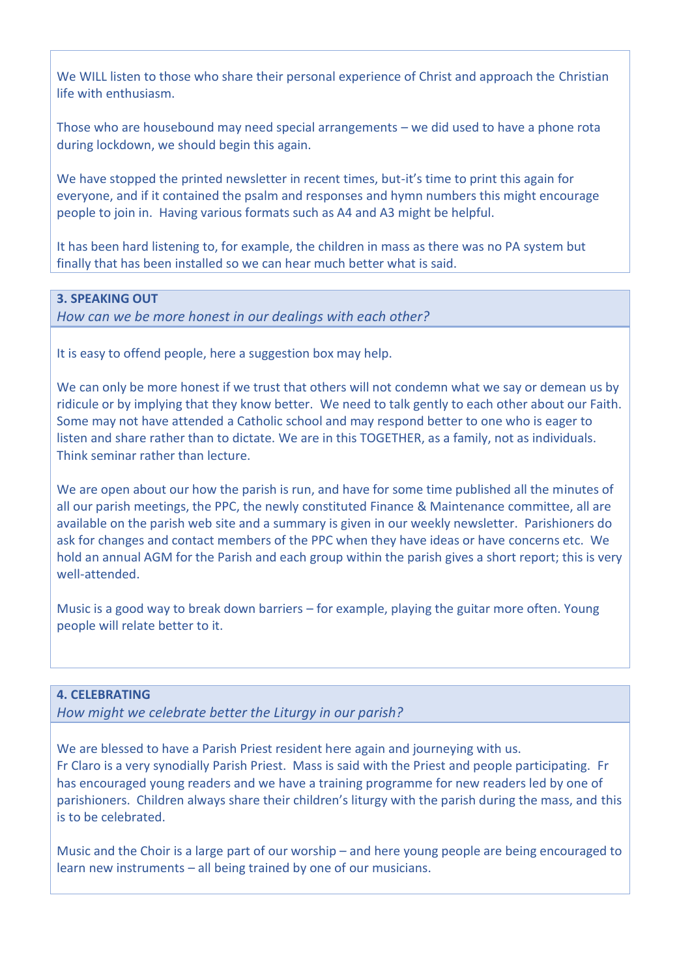We WILL listen to those who share their personal experience of Christ and approach the Christian life with enthusiasm.

Those who are housebound may need special arrangements – we did used to have a phone rota during lockdown, we should begin this again.

We have stopped the printed newsletter in recent times, but-it's time to print this again for everyone, and if it contained the psalm and responses and hymn numbers this might encourage people to join in. Having various formats such as A4 and A3 might be helpful.

It has been hard listening to, for example, the children in mass as there was no PA system but finally that has been installed so we can hear much better what is said.

## **3. SPEAKING OUT**

*How can we be more honest in our dealings with each other?*

It is easy to offend people, here a suggestion box may help.

We can only be more honest if we trust that others will not condemn what we say or demean us by ridicule or by implying that they know better. We need to talk gently to each other about our Faith. Some may not have attended a Catholic school and may respond better to one who is eager to listen and share rather than to dictate. We are in this TOGETHER, as a family, not as individuals. Think seminar rather than lecture.

We are open about our how the parish is run, and have for some time published all the minutes of all our parish meetings, the PPC, the newly constituted Finance & Maintenance committee, all are available on the parish web site and a summary is given in our weekly newsletter. Parishioners do ask for changes and contact members of the PPC when they have ideas or have concerns etc. We hold an annual AGM for the Parish and each group within the parish gives a short report; this is very well-attended.

Music is a good way to break down barriers – for example, playing the guitar more often. Young people will relate better to it.

#### **4. CELEBRATING**

*How might we celebrate better the Liturgy in our parish?*

We are blessed to have a Parish Priest resident here again and journeying with us. Fr Claro is a very synodially Parish Priest. Mass is said with the Priest and people participating. Fr has encouraged young readers and we have a training programme for new readers led by one of parishioners. Children always share their children's liturgy with the parish during the mass, and this is to be celebrated.

Music and the Choir is a large part of our worship – and here young people are being encouraged to learn new instruments – all being trained by one of our musicians.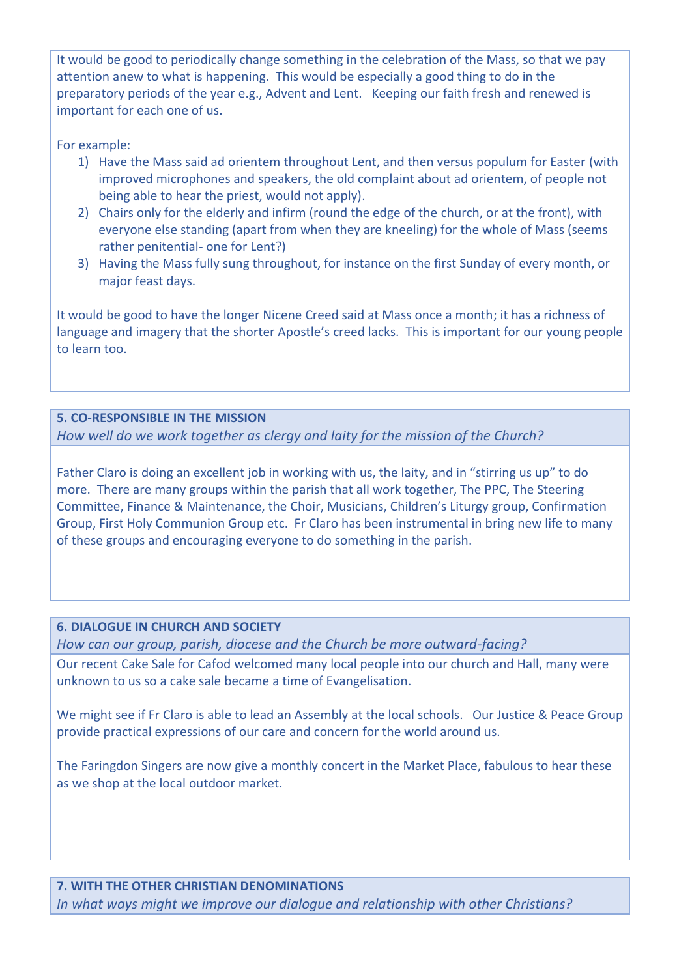It would be good to periodically change something in the celebration of the Mass, so that we pay attention anew to what is happening. This would be especially a good thing to do in the preparatory periods of the year e.g., Advent and Lent. Keeping our faith fresh and renewed is important for each one of us.

For example:

- 1) Have the Mass said ad orientem throughout Lent, and then versus populum for Easter (with improved microphones and speakers, the old complaint about ad orientem, of people not being able to hear the priest, would not apply).
- 2) Chairs only for the elderly and infirm (round the edge of the church, or at the front), with everyone else standing (apart from when they are kneeling) for the whole of Mass (seems rather penitential- one for Lent?)
- 3) Having the Mass fully sung throughout, for instance on the first Sunday of every month, or major feast days.

It would be good to have the longer Nicene Creed said at Mass once a month; it has a richness of language and imagery that the shorter Apostle's creed lacks. This is important for our young people to learn too.

# **5. CO-RESPONSIBLE IN THE MISSION**

*How well do we work together as clergy and laity for the mission of the Church?*

Father Claro is doing an excellent job in working with us, the laity, and in "stirring us up" to do more. There are many groups within the parish that all work together, The PPC, The Steering Committee, Finance & Maintenance, the Choir, Musicians, Children's Liturgy group, Confirmation Group, First Holy Communion Group etc. Fr Claro has been instrumental in bring new life to many of these groups and encouraging everyone to do something in the parish.

## **6. DIALOGUE IN CHURCH AND SOCIETY**

*How can our group, parish, diocese and the Church be more outward-facing?* 

Our recent Cake Sale for Cafod welcomed many local people into our church and Hall, many were unknown to us so a cake sale became a time of Evangelisation.

We might see if Fr Claro is able to lead an Assembly at the local schools. Our Justice & Peace Group provide practical expressions of our care and concern for the world around us.

The Faringdon Singers are now give a monthly concert in the Market Place, fabulous to hear these as we shop at the local outdoor market.

**7. WITH THE OTHER CHRISTIAN DENOMINATIONS** *In what ways might we improve our dialogue and relationship with other Christians?*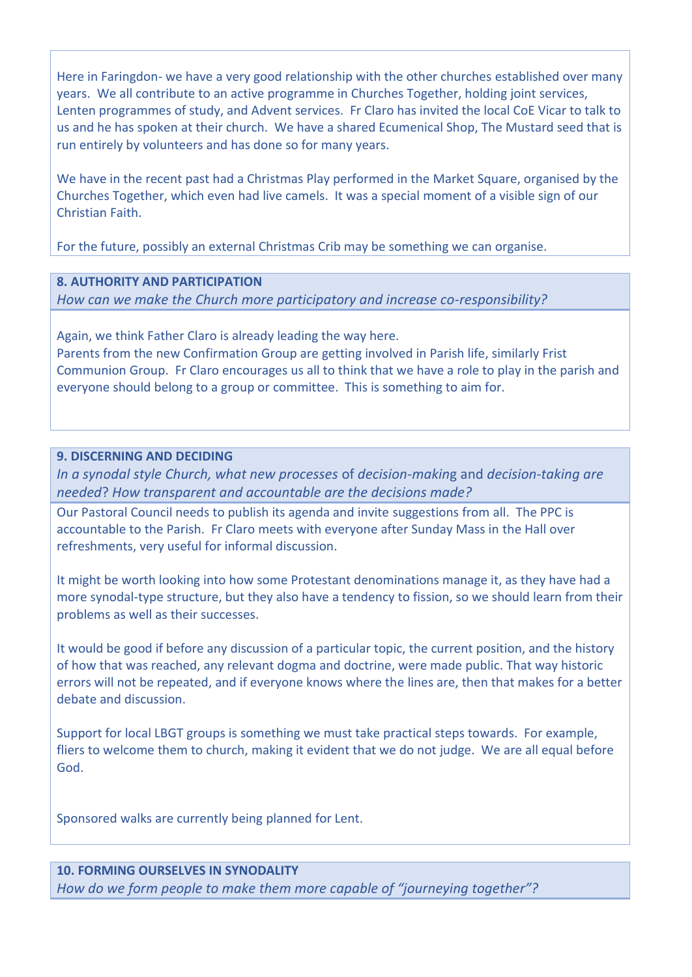Here in Faringdon- we have a very good relationship with the other churches established over many years. We all contribute to an active programme in Churches Together, holding joint services, Lenten programmes of study, and Advent services. Fr Claro has invited the local CoE Vicar to talk to us and he has spoken at their church. We have a shared Ecumenical Shop, The Mustard seed that is run entirely by volunteers and has done so for many years.

We have in the recent past had a Christmas Play performed in the Market Square, organised by the Churches Together, which even had live camels. It was a special moment of a visible sign of our Christian Faith.

For the future, possibly an external Christmas Crib may be something we can organise.

## **8. AUTHORITY AND PARTICIPATION**

*How can we make the Church more participatory and increase co-responsibility?*

Again, we think Father Claro is already leading the way here. Parents from the new Confirmation Group are getting involved in Parish life, similarly Frist Communion Group. Fr Claro encourages us all to think that we have a role to play in the parish and everyone should belong to a group or committee. This is something to aim for.

## **9. DISCERNING AND DECIDING**

*In a synodal style Church, what new processes* of *decision-makin*g and *decision-taking are needed*? *How transparent and accountable are the decisions made?* 

Our Pastoral Council needs to publish its agenda and invite suggestions from all. The PPC is accountable to the Parish. Fr Claro meets with everyone after Sunday Mass in the Hall over refreshments, very useful for informal discussion.

It might be worth looking into how some Protestant denominations manage it, as they have had a more synodal-type structure, but they also have a tendency to fission, so we should learn from their problems as well as their successes.

It would be good if before any discussion of a particular topic, the current position, and the history of how that was reached, any relevant dogma and doctrine, were made public. That way historic errors will not be repeated, and if everyone knows where the lines are, then that makes for a better debate and discussion.

Support for local LBGT groups is something we must take practical steps towards. For example, fliers to welcome them to church, making it evident that we do not judge. We are all equal before God.

Sponsored walks are currently being planned for Lent.

## **10. FORMING OURSELVES IN SYNODALITY**

*How do we form people to make them more capable of "journeying together"?*